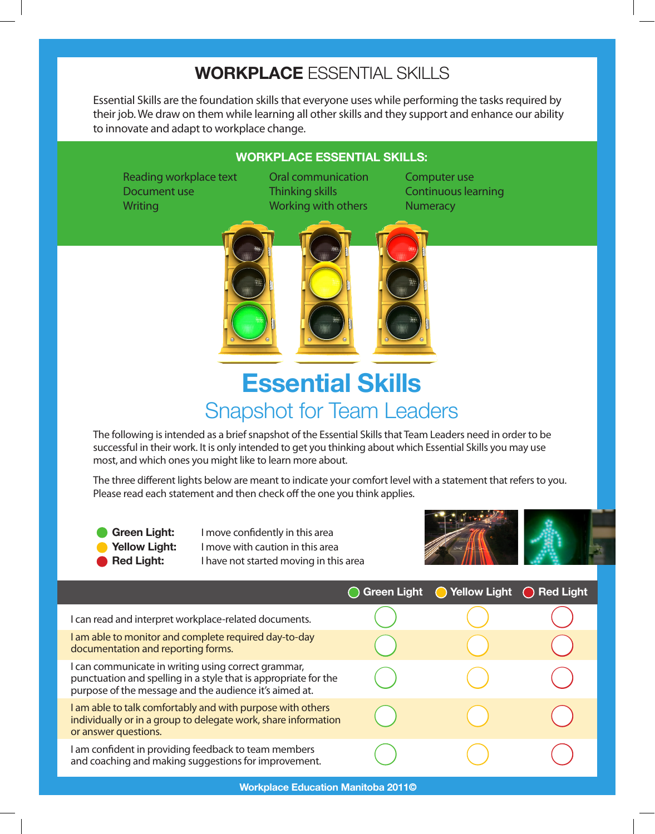## **Workplace** Essential Skills

Essential Skills are the foundation skills that everyone uses while performing the tasks required by their job. We draw on them while learning all other skills and they support and enhance our ability to innovate and adapt to workplace change.

## **Workplace Essential Skills:**

Reading workplace text Cral communication Computer use Document use Thinking skills Continuous learning Writing Working Working with others Numeracy



## **Essential Skills**  Snapshot for Team Leaders

The following is intended as a brief snapshot of the Essential Skills that Team Leaders need in order to be successful in their work. It is only intended to get you thinking about which Essential Skills you may use most, and which ones you might like to learn more about.

The three different lights below are meant to indicate your comfort level with a statement that refers to you. Please read each statement and then check off the one you think applies.

Green Light: I move confidently in this area **Yellow Light:** I move with caution in this area **Red Light:** I have not started moving in this area



|                                                                                                                                                                                  | <b>Green Light</b> | ◯ Yellow Light | ◯ Red Light |
|----------------------------------------------------------------------------------------------------------------------------------------------------------------------------------|--------------------|----------------|-------------|
| I can read and interpret workplace-related documents.                                                                                                                            |                    |                |             |
| I am able to monitor and complete required day-to-day<br>documentation and reporting forms.                                                                                      |                    |                |             |
| I can communicate in writing using correct grammar,<br>punctuation and spelling in a style that is appropriate for the<br>purpose of the message and the audience it's aimed at. |                    |                |             |
| I am able to talk comfortably and with purpose with others<br>individually or in a group to delegate work, share information<br>or answer questions.                             |                    |                |             |
| I am confident in providing feedback to team members<br>and coaching and making suggestions for improvement.                                                                     |                    |                |             |